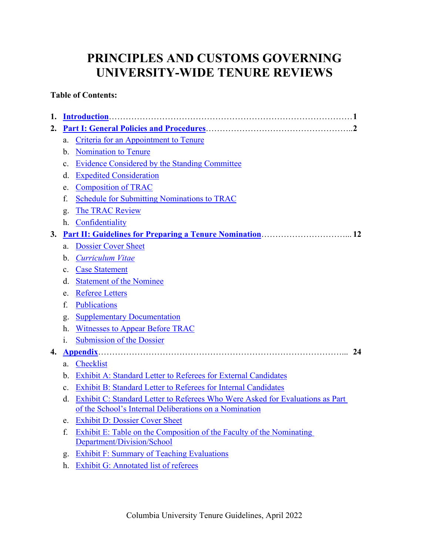# **PRINCIPLES AND CUSTOMS GOVERNING UNIVERSITY-WIDE TENURE REVIEWS**

# **Table of Contents:**

| 1. |                                      |                                                                                                                                         |  |  |
|----|--------------------------------------|-----------------------------------------------------------------------------------------------------------------------------------------|--|--|
| 2. |                                      |                                                                                                                                         |  |  |
|    | a.                                   | Criteria for an Appointment to Tenure                                                                                                   |  |  |
|    | b.                                   | <b>Nomination to Tenure</b>                                                                                                             |  |  |
|    | c.                                   | Evidence Considered by the Standing Committee                                                                                           |  |  |
|    | <b>Expedited Consideration</b><br>d. |                                                                                                                                         |  |  |
|    | e.                                   | <b>Composition of TRAC</b>                                                                                                              |  |  |
|    | f.                                   | <b>Schedule for Submitting Nominations to TRAC</b>                                                                                      |  |  |
|    | g.                                   | The TRAC Review                                                                                                                         |  |  |
|    | h.                                   | Confidentiality                                                                                                                         |  |  |
| 3. |                                      |                                                                                                                                         |  |  |
|    | a.                                   | <b>Dossier Cover Sheet</b>                                                                                                              |  |  |
|    | $\mathbf b$ .                        | Curriculum Vitae                                                                                                                        |  |  |
|    | $\mathbf{c}$ .                       | <b>Case Statement</b>                                                                                                                   |  |  |
|    | d.                                   | <b>Statement of the Nominee</b>                                                                                                         |  |  |
|    | e.                                   | <b>Referee Letters</b>                                                                                                                  |  |  |
|    | f.                                   | <b>Publications</b>                                                                                                                     |  |  |
|    | g.                                   | <b>Supplementary Documentation</b>                                                                                                      |  |  |
|    | h.                                   | <b>Witnesses to Appear Before TRAC</b>                                                                                                  |  |  |
|    | i.                                   | <b>Submission of the Dossier</b>                                                                                                        |  |  |
| 4. | 24                                   |                                                                                                                                         |  |  |
|    | a.                                   | Checklist                                                                                                                               |  |  |
|    | b.                                   | Exhibit A: Standard Letter to Referees for External Candidates                                                                          |  |  |
|    | c.                                   | Exhibit B: Standard Letter to Referees for Internal Candidates                                                                          |  |  |
|    | d.                                   | Exhibit C: Standard Letter to Referees Who Were Asked for Evaluations as Part<br>of the School's Internal Deliberations on a Nomination |  |  |
|    | e.                                   | <b>Exhibit D: Dossier Cover Sheet</b>                                                                                                   |  |  |
|    | f.                                   | Exhibit E: Table on the Composition of the Faculty of the Nominating                                                                    |  |  |
|    | Department/Division/School           |                                                                                                                                         |  |  |
|    | g.                                   | <b>Exhibit F: Summary of Teaching Evaluations</b>                                                                                       |  |  |
|    | h.                                   | Exhibit G: Annotated list of referees                                                                                                   |  |  |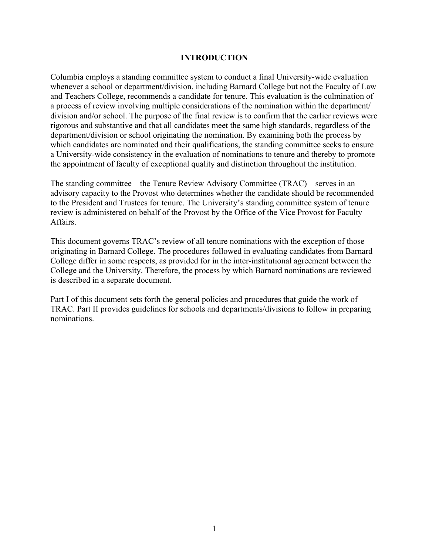#### **INTRODUCTION**

<span id="page-1-0"></span>Columbia employs a standing committee system to conduct a final University-wide evaluation whenever a school or department/division, including Barnard College but not the Faculty of Law and Teachers College, recommends a candidate for tenure. This evaluation is the culmination of a process of review involving multiple considerations of the nomination within the department/ division and/or school. The purpose of the final review is to confirm that the earlier reviews were rigorous and substantive and that all candidates meet the same high standards, regardless of the department/division or school originating the nomination. By examining both the process by which candidates are nominated and their qualifications, the standing committee seeks to ensure a University-wide consistency in the evaluation of nominations to tenure and thereby to promote the appointment of faculty of exceptional quality and distinction throughout the institution.

The standing committee – the Tenure Review Advisory Committee (TRAC) – serves in an advisory capacity to the Provost who determines whether the candidate should be recommended to the President and Trustees for tenure. The University's standing committee system of tenure review is administered on behalf of the Provost by the Office of the Vice Provost for Faculty Affairs.

This document governs TRAC's review of all tenure nominations with the exception of those originating in Barnard College. The procedures followed in evaluating candidates from Barnard College differ in some respects, as provided for in the inter-institutional agreement between the College and the University. Therefore, the process by which Barnard nominations are reviewed is described in a separate document.

Part I of this document sets forth the general policies and procedures that guide the work of TRAC. Part II provides guidelines for schools and departments/divisions to follow in preparing nominations.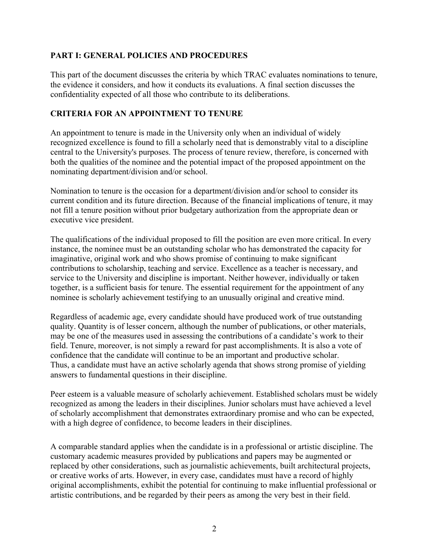#### <span id="page-2-0"></span>**PART I: GENERAL POLICIES AND PROCEDURES**

This part of the document discusses the criteria by which TRAC evaluates nominations to tenure, the evidence it considers, and how it conducts its evaluations. A final section discusses the confidentiality expected of all those who contribute to its deliberations.

# <span id="page-2-1"></span>**CRITERIA FOR AN APPOINTMENT TO TENURE**

An appointment to tenure is made in the University only when an individual of widely recognized excellence is found to fill a scholarly need that is demonstrably vital to a discipline central to the University's purposes. The process of tenure review, therefore, is concerned with both the qualities of the nominee and the potential impact of the proposed appointment on the nominating department/division and/or school.

Nomination to tenure is the occasion for a department/division and/or school to consider its current condition and its future direction. Because of the financial implications of tenure, it may not fill a tenure position without prior budgetary authorization from the appropriate dean or executive vice president.

The qualifications of the individual proposed to fill the position are even more critical. In every instance, the nominee must be an outstanding scholar who has demonstrated the capacity for imaginative, original work and who shows promise of continuing to make significant contributions to scholarship, teaching and service. Excellence as a teacher is necessary, and service to the University and discipline is important. Neither however, individually or taken together, is a sufficient basis for tenure. The essential requirement for the appointment of any nominee is scholarly achievement testifying to an unusually original and creative mind.

Regardless of academic age, every candidate should have produced work of true outstanding quality. Quantity is of lesser concern, although the number of publications, or other materials, may be one of the measures used in assessing the contributions of a candidate's work to their field. Tenure, moreover, is not simply a reward for past accomplishments. It is also a vote of confidence that the candidate will continue to be an important and productive scholar. Thus, a candidate must have an active scholarly agenda that shows strong promise of yielding answers to fundamental questions in their discipline.

Peer esteem is a valuable measure of scholarly achievement. Established scholars must be widely recognized as among the leaders in their disciplines. Junior scholars must have achieved a level of scholarly accomplishment that demonstrates extraordinary promise and who can be expected, with a high degree of confidence, to become leaders in their disciplines.

A comparable standard applies when the candidate is in a professional or artistic discipline. The customary academic measures provided by publications and papers may be augmented or replaced by other considerations, such as journalistic achievements, built architectural projects, or creative works of arts. However, in every case, candidates must have a record of highly original accomplishments, exhibit the potential for continuing to make influential professional or artistic contributions, and be regarded by their peers as among the very best in their field.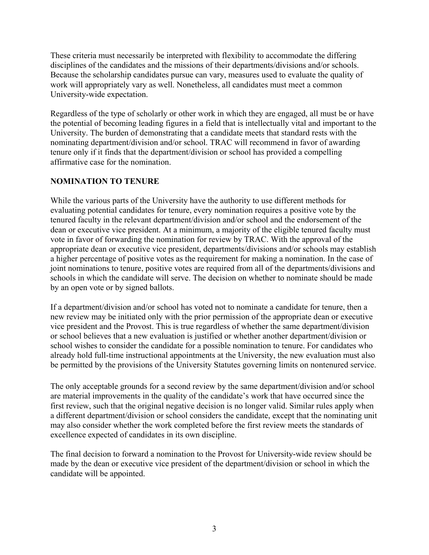These criteria must necessarily be interpreted with flexibility to accommodate the differing disciplines of the candidates and the missions of their departments/divisions and/or schools. Because the scholarship candidates pursue can vary, measures used to evaluate the quality of work will appropriately vary as well. Nonetheless, all candidates must meet a common University-wide expectation.

Regardless of the type of scholarly or other work in which they are engaged, all must be or have the potential of becoming leading figures in a field that is intellectually vital and important to the University. The burden of demonstrating that a candidate meets that standard rests with the nominating department/division and/or school. TRAC will recommend in favor of awarding tenure only if it finds that the department/division or school has provided a compelling affirmative case for the nomination.

# <span id="page-3-0"></span>**NOMINATION TO TENURE**

While the various parts of the University have the authority to use different methods for evaluating potential candidates for tenure, every nomination requires a positive vote by the tenured faculty in the relevant department/division and/or school and the endorsement of the dean or executive vice president. At a minimum, a majority of the eligible tenured faculty must vote in favor of forwarding the nomination for review by TRAC. With the approval of the appropriate dean or executive vice president, departments/divisions and/or schools may establish a higher percentage of positive votes as the requirement for making a nomination. In the case of joint nominations to tenure, positive votes are required from all of the departments/divisions and schools in which the candidate will serve. The decision on whether to nominate should be made by an open vote or by signed ballots.

If a department/division and/or school has voted not to nominate a candidate for tenure, then a new review may be initiated only with the prior permission of the appropriate dean or executive vice president and the Provost. This is true regardless of whether the same department/division or school believes that a new evaluation is justified or whether another department/division or school wishes to consider the candidate for a possible nomination to tenure. For candidates who already hold full-time instructional appointments at the University, the new evaluation must also be permitted by the provisions of the University Statutes governing limits on nontenured service.

The only acceptable grounds for a second review by the same department/division and/or school are material improvements in the quality of the candidate's work that have occurred since the first review, such that the original negative decision is no longer valid. Similar rules apply when a different department/division or school considers the candidate, except that the nominating unit may also consider whether the work completed before the first review meets the standards of excellence expected of candidates in its own discipline.

The final decision to forward a nomination to the Provost for University-wide review should be made by the dean or executive vice president of the department/division or school in which the candidate will be appointed.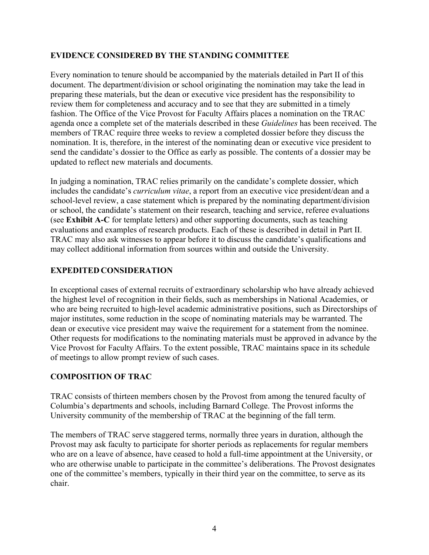# <span id="page-4-0"></span>**EVIDENCE CONSIDERED BY THE STANDING COMMITTEE**

Every nomination to tenure should be accompanied by the materials detailed in Part II of this document. The department/division or school originating the nomination may take the lead in preparing these materials, but the dean or executive vice president has the responsibility to review them for completeness and accuracy and to see that they are submitted in a timely fashion. The Office of the Vice Provost for Faculty Affairs places a nomination on the TRAC agenda once a complete set of the materials described in these *Guidelines* has been received. The members of TRAC require three weeks to review a completed dossier before they discuss the nomination. It is, therefore, in the interest of the nominating dean or executive vice president to send the candidate's dossier to the Office as early as possible. The contents of a dossier may be updated to reflect new materials and documents.

In judging a nomination, TRAC relies primarily on the candidate's complete dossier, which includes the candidate's *curriculum vitae*, a report from an executive vice president/dean and a school-level review, a case statement which is prepared by the nominating department/division or school, the candidate's statement on their research, teaching and service, referee evaluations (see **Exhibit A-C** for template letters) and other supporting documents, such as teaching evaluations and examples of research products. Each of these is described in detail in Part II. TRAC may also ask witnesses to appear before it to discuss the candidate's qualifications and may collect additional information from sources within and outside the University.

# <span id="page-4-1"></span>**EXPEDITED CONSIDERATION**

In exceptional cases of external recruits of extraordinary scholarship who have already achieved the highest level of recognition in their fields, such as memberships in National Academies, or who are being recruited to high-level academic administrative positions, such as Directorships of major institutes, some reduction in the scope of nominating materials may be warranted. The dean or executive vice president may waive the requirement for a statement from the nominee. Other requests for modifications to the nominating materials must be approved in advance by the Vice Provost for Faculty Affairs. To the extent possible, TRAC maintains space in its schedule of meetings to allow prompt review of such cases.

#### <span id="page-4-2"></span>**COMPOSITION OF TRAC**

TRAC consists of thirteen members chosen by the Provost from among the tenured faculty of Columbia's departments and schools, including Barnard College. The Provost informs the University community of the membership of TRAC at the beginning of the fall term.

The members of TRAC serve staggered terms, normally three years in duration, although the Provost may ask faculty to participate for shorter periods as replacements for regular members who are on a leave of absence, have ceased to hold a full-time appointment at the University, or who are otherwise unable to participate in the committee's deliberations. The Provost designates one of the committee's members, typically in their third year on the committee, to serve as its chair.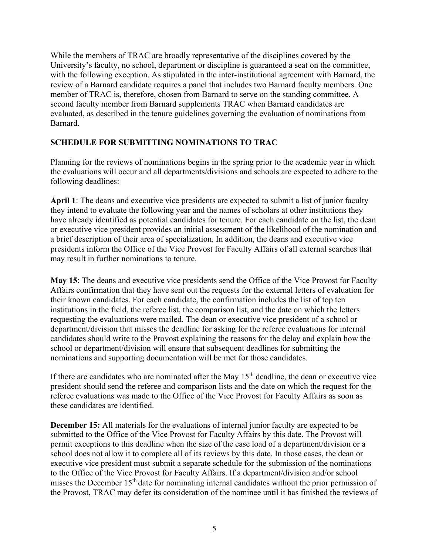While the members of TRAC are broadly representative of the disciplines covered by the University's faculty, no school, department or discipline is guaranteed a seat on the committee, with the following exception. As stipulated in the inter-institutional agreement with Barnard, the review of a Barnard candidate requires a panel that includes two Barnard faculty members. One member of TRAC is, therefore, chosen from Barnard to serve on the standing committee. A second faculty member from Barnard supplements TRAC when Barnard candidates are evaluated, as described in the tenure guidelines governing the evaluation of nominations from Barnard.

#### <span id="page-5-0"></span>**SCHEDULE FOR SUBMITTING NOMINATIONS TO TRAC**

Planning for the reviews of nominations begins in the spring prior to the academic year in which the evaluations will occur and all departments/divisions and schools are expected to adhere to the following deadlines:

**April 1**: The deans and executive vice presidents are expected to submit a list of junior faculty they intend to evaluate the following year and the names of scholars at other institutions they have already identified as potential candidates for tenure. For each candidate on the list, the dean or executive vice president provides an initial assessment of the likelihood of the nomination and a brief description of their area of specialization. In addition, the deans and executive vice presidents inform the Office of the Vice Provost for Faculty Affairs of all external searches that may result in further nominations to tenure.

**May 15**: The deans and executive vice presidents send the Office of the Vice Provost for Faculty Affairs confirmation that they have sent out the requests for the external letters of evaluation for their known candidates. For each candidate, the confirmation includes the list of top ten institutions in the field, the referee list, the comparison list, and the date on which the letters requesting the evaluations were mailed. The dean or executive vice president of a school or department/division that misses the deadline for asking for the referee evaluations for internal candidates should write to the Provost explaining the reasons for the delay and explain how the school or department/division will ensure that subsequent deadlines for submitting the nominations and supporting documentation will be met for those candidates.

If there are candidates who are nominated after the May  $15<sup>th</sup>$  deadline, the dean or executive vice president should send the referee and comparison lists and the date on which the request for the referee evaluations was made to the Office of the Vice Provost for Faculty Affairs as soon as these candidates are identified.

**December 15:** All materials for the evaluations of internal junior faculty are expected to be submitted to the Office of the Vice Provost for Faculty Affairs by this date. The Provost will permit exceptions to this deadline when the size of the case load of a department/division or a school does not allow it to complete all of its reviews by this date. In those cases, the dean or executive vice president must submit a separate schedule for the submission of the nominations to the Office of the Vice Provost for Faculty Affairs. If a department/division and/or school misses the December 15<sup>th</sup> date for nominating internal candidates without the prior permission of the Provost, TRAC may defer its consideration of the nominee until it has finished the reviews of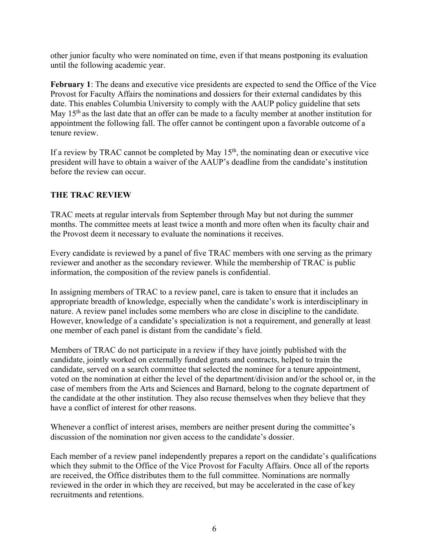other junior faculty who were nominated on time, even if that means postponing its evaluation until the following academic year.

**February 1**: The deans and executive vice presidents are expected to send the Office of the Vice Provost for Faculty Affairs the nominations and dossiers for their external candidates by this date. This enables Columbia University to comply with the AAUP policy guideline that sets May  $15<sup>th</sup>$  as the last date that an offer can be made to a faculty member at another institution for appointment the following fall. The offer cannot be contingent upon a favorable outcome of a tenure review.

If a review by TRAC cannot be completed by May  $15<sup>th</sup>$ , the nominating dean or executive vice president will have to obtain a waiver of the AAUP's deadline from the candidate's institution before the review can occur.

# <span id="page-6-0"></span>**THE TRAC REVIEW**

TRAC meets at regular intervals from September through May but not during the summer months. The committee meets at least twice a month and more often when its faculty chair and the Provost deem it necessary to evaluate the nominations it receives.

Every candidate is reviewed by a panel of five TRAC members with one serving as the primary reviewer and another as the secondary reviewer. While the membership of TRAC is public information, the composition of the review panels is confidential.

In assigning members of TRAC to a review panel, care is taken to ensure that it includes an appropriate breadth of knowledge, especially when the candidate's work is interdisciplinary in nature. A review panel includes some members who are close in discipline to the candidate. However, knowledge of a candidate's specialization is not a requirement, and generally at least one member of each panel is distant from the candidate's field.

Members of TRAC do not participate in a review if they have jointly published with the candidate, jointly worked on externally funded grants and contracts, helped to train the candidate, served on a search committee that selected the nominee for a tenure appointment, voted on the nomination at either the level of the department/division and/or the school or, in the case of members from the Arts and Sciences and Barnard, belong to the cognate department of the candidate at the other institution. They also recuse themselves when they believe that they have a conflict of interest for other reasons.

Whenever a conflict of interest arises, members are neither present during the committee's discussion of the nomination nor given access to the candidate's dossier.

Each member of a review panel independently prepares a report on the candidate's qualifications which they submit to the Office of the Vice Provost for Faculty Affairs. Once all of the reports are received, the Office distributes them to the full committee. Nominations are normally reviewed in the order in which they are received, but may be accelerated in the case of key recruitments and retentions.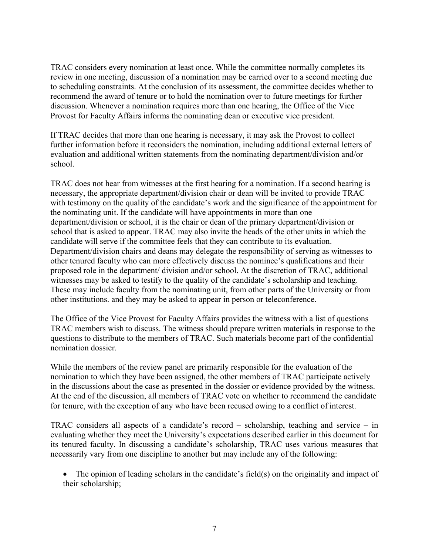TRAC considers every nomination at least once. While the committee normally completes its review in one meeting, discussion of a nomination may be carried over to a second meeting due to scheduling constraints. At the conclusion of its assessment, the committee decides whether to recommend the award of tenure or to hold the nomination over to future meetings for further discussion. Whenever a nomination requires more than one hearing, the Office of the Vice Provost for Faculty Affairs informs the nominating dean or executive vice president.

If TRAC decides that more than one hearing is necessary, it may ask the Provost to collect further information before it reconsiders the nomination, including additional external letters of evaluation and additional written statements from the nominating department/division and/or school.

TRAC does not hear from witnesses at the first hearing for a nomination. If a second hearing is necessary, the appropriate department/division chair or dean will be invited to provide TRAC with testimony on the quality of the candidate's work and the significance of the appointment for the nominating unit. If the candidate will have appointments in more than one department/division or school, it is the chair or dean of the primary department/division or school that is asked to appear. TRAC may also invite the heads of the other units in which the candidate will serve if the committee feels that they can contribute to its evaluation. Department/division chairs and deans may delegate the responsibility of serving as witnesses to other tenured faculty who can more effectively discuss the nominee's qualifications and their proposed role in the department/ division and/or school. At the discretion of TRAC, additional witnesses may be asked to testify to the quality of the candidate's scholarship and teaching. These may include faculty from the nominating unit, from other parts of the University or from other institutions. and they may be asked to appear in person or teleconference.

The Office of the Vice Provost for Faculty Affairs provides the witness with a list of questions TRAC members wish to discuss. The witness should prepare written materials in response to the questions to distribute to the members of TRAC. Such materials become part of the confidential nomination dossier.

While the members of the review panel are primarily responsible for the evaluation of the nomination to which they have been assigned, the other members of TRAC participate actively in the discussions about the case as presented in the dossier or evidence provided by the witness. At the end of the discussion, all members of TRAC vote on whether to recommend the candidate for tenure, with the exception of any who have been recused owing to a conflict of interest.

TRAC considers all aspects of a candidate's record – scholarship, teaching and service – in evaluating whether they meet the University's expectations described earlier in this document for its tenured faculty. In discussing a candidate's scholarship, TRAC uses various measures that necessarily vary from one discipline to another but may include any of the following:

• The opinion of leading scholars in the candidate's field(s) on the originality and impact of their scholarship;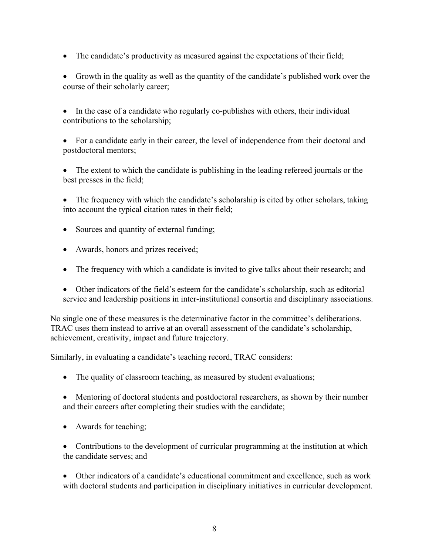• The candidate's productivity as measured against the expectations of their field;

• Growth in the quality as well as the quantity of the candidate's published work over the course of their scholarly career;

• In the case of a candidate who regularly co-publishes with others, their individual contributions to the scholarship;

• For a candidate early in their career, the level of independence from their doctoral and postdoctoral mentors;

The extent to which the candidate is publishing in the leading refereed journals or the best presses in the field;

• The frequency with which the candidate's scholarship is cited by other scholars, taking into account the typical citation rates in their field;

- Sources and quantity of external funding;
- Awards, honors and prizes received;
- The frequency with which a candidate is invited to give talks about their research; and
- Other indicators of the field's esteem for the candidate's scholarship, such as editorial service and leadership positions in inter-institutional consortia and disciplinary associations.

No single one of these measures is the determinative factor in the committee's deliberations. TRAC uses them instead to arrive at an overall assessment of the candidate's scholarship, achievement, creativity, impact and future trajectory.

Similarly, in evaluating a candidate's teaching record, TRAC considers:

• The quality of classroom teaching, as measured by student evaluations;

• Mentoring of doctoral students and postdoctoral researchers, as shown by their number and their careers after completing their studies with the candidate;

• Awards for teaching;

• Contributions to the development of curricular programming at the institution at which the candidate serves; and

• Other indicators of a candidate's educational commitment and excellence, such as work with doctoral students and participation in disciplinary initiatives in curricular development.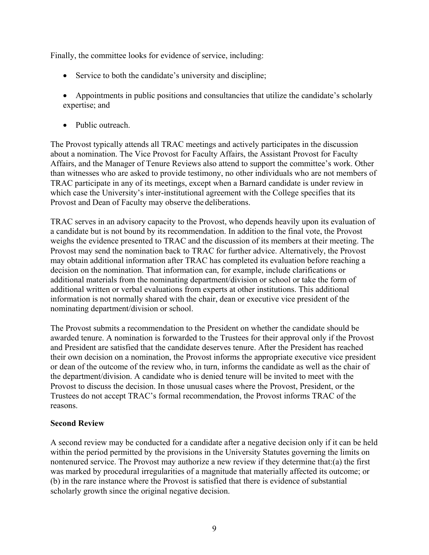Finally, the committee looks for evidence of service, including:

- Service to both the candidate's university and discipline;
- Appointments in public positions and consultancies that utilize the candidate's scholarly expertise; and
- Public outreach.

The Provost typically attends all TRAC meetings and actively participates in the discussion about a nomination. The Vice Provost for Faculty Affairs, the Assistant Provost for Faculty Affairs, and the Manager of Tenure Reviews also attend to support the committee's work. Other than witnesses who are asked to provide testimony, no other individuals who are not members of TRAC participate in any of its meetings, except when a Barnard candidate is under review in which case the University's inter-institutional agreement with the College specifies that its Provost and Dean of Faculty may observe the deliberations.

TRAC serves in an advisory capacity to the Provost, who depends heavily upon its evaluation of a candidate but is not bound by its recommendation. In addition to the final vote, the Provost weighs the evidence presented to TRAC and the discussion of its members at their meeting. The Provost may send the nomination back to TRAC for further advice. Alternatively, the Provost may obtain additional information after TRAC has completed its evaluation before reaching a decision on the nomination. That information can, for example, include clarifications or additional materials from the nominating department/division or school or take the form of additional written or verbal evaluations from experts at other institutions. This additional information is not normally shared with the chair, dean or executive vice president of the nominating department/division or school.

The Provost submits a recommendation to the President on whether the candidate should be awarded tenure. A nomination is forwarded to the Trustees for their approval only if the Provost and President are satisfied that the candidate deserves tenure. After the President has reached their own decision on a nomination, the Provost informs the appropriate executive vice president or dean of the outcome of the review who, in turn, informs the candidate as well as the chair of the department/division. A candidate who is denied tenure will be invited to meet with the Provost to discuss the decision. In those unusual cases where the Provost, President, or the Trustees do not accept TRAC's formal recommendation, the Provost informs TRAC of the reasons.

#### **Second Review**

A second review may be conducted for a candidate after a negative decision only if it can be held within the period permitted by the provisions in the University Statutes governing the limits on nontenured service. The Provost may authorize a new review if they determine that:(a) the first was marked by procedural irregularities of a magnitude that materially affected its outcome; or (b) in the rare instance where the Provost is satisfied that there is evidence of substantial scholarly growth since the original negative decision.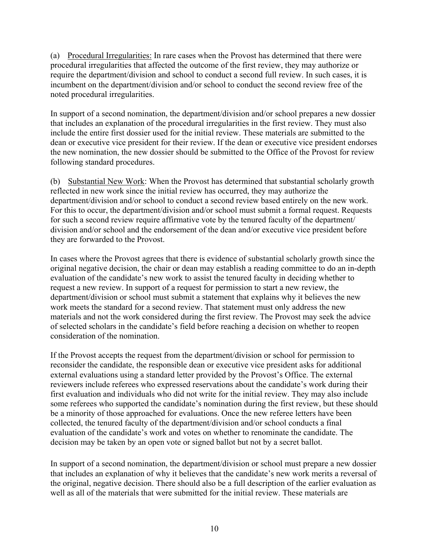(a) Procedural Irregularities: In rare cases when the Provost has determined that there were procedural irregularities that affected the outcome of the first review, they may authorize or require the department/division and school to conduct a second full review. In such cases, it is incumbent on the department/division and/or school to conduct the second review free of the noted procedural irregularities.

In support of a second nomination, the department/division and/or school prepares a new dossier that includes an explanation of the procedural irregularities in the first review. They must also include the entire first dossier used for the initial review. These materials are submitted to the dean or executive vice president for their review. If the dean or executive vice president endorses the new nomination, the new dossier should be submitted to the Office of the Provost for review following standard procedures.

(b) Substantial New Work: When the Provost has determined that substantial scholarly growth reflected in new work since the initial review has occurred, they may authorize the department/division and/or school to conduct a second review based entirely on the new work. For this to occur, the department/division and/or school must submit a formal request. Requests for such a second review require affirmative vote by the tenured faculty of the department/ division and/or school and the endorsement of the dean and/or executive vice president before they are forwarded to the Provost.

In cases where the Provost agrees that there is evidence of substantial scholarly growth since the original negative decision, the chair or dean may establish a reading committee to do an in-depth evaluation of the candidate's new work to assist the tenured faculty in deciding whether to request a new review. In support of a request for permission to start a new review, the department/division or school must submit a statement that explains why it believes the new work meets the standard for a second review. That statement must only address the new materials and not the work considered during the first review. The Provost may seek the advice of selected scholars in the candidate's field before reaching a decision on whether to reopen consideration of the nomination.

If the Provost accepts the request from the department/division or school for permission to reconsider the candidate, the responsible dean or executive vice president asks for additional external evaluations using a standard letter provided by the Provost's Office. The external reviewers include referees who expressed reservations about the candidate's work during their first evaluation and individuals who did not write for the initial review. They may also include some referees who supported the candidate's nomination during the first review, but these should be a minority of those approached for evaluations. Once the new referee letters have been collected, the tenured faculty of the department/division and/or school conducts a final evaluation of the candidate's work and votes on whether to renominate the candidate. The decision may be taken by an open vote or signed ballot but not by a secret ballot.

In support of a second nomination, the department/division or school must prepare a new dossier that includes an explanation of why it believes that the candidate's new work merits a reversal of the original, negative decision. There should also be a full description of the earlier evaluation as well as all of the materials that were submitted for the initial review. These materials are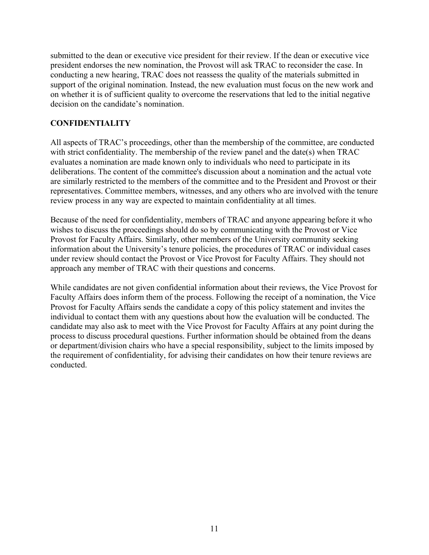submitted to the dean or executive vice president for their review. If the dean or executive vice president endorses the new nomination, the Provost will ask TRAC to reconsider the case. In conducting a new hearing, TRAC does not reassess the quality of the materials submitted in support of the original nomination. Instead, the new evaluation must focus on the new work and on whether it is of sufficient quality to overcome the reservations that led to the initial negative decision on the candidate's nomination.

# <span id="page-11-0"></span>**CONFIDENTIALITY**

All aspects of TRAC's proceedings, other than the membership of the committee, are conducted with strict confidentiality. The membership of the review panel and the date(s) when TRAC evaluates a nomination are made known only to individuals who need to participate in its deliberations. The content of the committee's discussion about a nomination and the actual vote are similarly restricted to the members of the committee and to the President and Provost or their representatives. Committee members, witnesses, and any others who are involved with the tenure review process in any way are expected to maintain confidentiality at all times.

Because of the need for confidentiality, members of TRAC and anyone appearing before it who wishes to discuss the proceedings should do so by communicating with the Provost or Vice Provost for Faculty Affairs. Similarly, other members of the University community seeking information about the University's tenure policies, the procedures of TRAC or individual cases under review should contact the Provost or Vice Provost for Faculty Affairs. They should not approach any member of TRAC with their questions and concerns.

While candidates are not given confidential information about their reviews, the Vice Provost for Faculty Affairs does inform them of the process. Following the receipt of a nomination, the Vice Provost for Faculty Affairs sends the candidate a copy of this policy statement and invites the individual to contact them with any questions about how the evaluation will be conducted. The candidate may also ask to meet with the Vice Provost for Faculty Affairs at any point during the process to discuss procedural questions. Further information should be obtained from the deans or department/division chairs who have a special responsibility, subject to the limits imposed by the requirement of confidentiality, for advising their candidates on how their tenure reviews are conducted.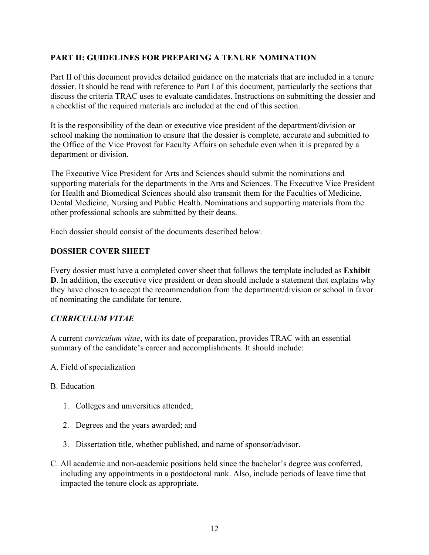# <span id="page-12-0"></span>**PART II: GUIDELINES FOR PREPARING A TENURE NOMINATION**

Part II of this document provides detailed guidance on the materials that are included in a tenure dossier. It should be read with reference to Part I of this document, particularly the sections that discuss the criteria TRAC uses to evaluate candidates. Instructions on submitting the dossier and a checklist of the required materials are included at the end of this section.

It is the responsibility of the dean or executive vice president of the department/division or school making the nomination to ensure that the dossier is complete, accurate and submitted to the Office of the Vice Provost for Faculty Affairs on schedule even when it is prepared by a department or division.

The Executive Vice President for Arts and Sciences should submit the nominations and supporting materials for the departments in the Arts and Sciences. The Executive Vice President for Health and Biomedical Sciences should also transmit them for the Faculties of Medicine, Dental Medicine, Nursing and Public Health. Nominations and supporting materials from the other professional schools are submitted by their deans.

Each dossier should consist of the documents described below.

#### <span id="page-12-1"></span>**DOSSIER COVER SHEET**

Every dossier must have a completed cover sheet that follows the template included as **Exhibit D**. In addition, the executive vice president or dean should include a statement that explains why they have chosen to accept the recommendation from the department/division or school in favor of nominating the candidate for tenure.

#### <span id="page-12-2"></span>*CURRICULUM VITAE*

A current *curriculum vitae*, with its date of preparation, provides TRAC with an essential summary of the candidate's career and accomplishments. It should include:

A. Field of specialization

#### B. Education

- 1. Colleges and universities attended;
- 2. Degrees and the years awarded; and
- 3. Dissertation title, whether published, and name of sponsor/advisor.
- C. All academic and non-academic positions held since the bachelor's degree was conferred, including any appointments in a postdoctoral rank. Also, include periods of leave time that impacted the tenure clock as appropriate.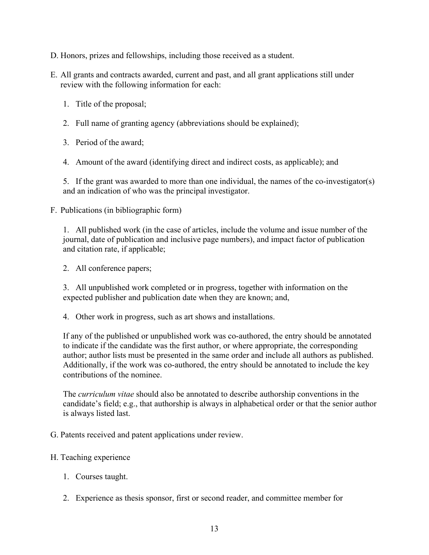- D. Honors, prizes and fellowships, including those received as a student.
- E. All grants and contracts awarded, current and past, and all grant applications still under review with the following information for each:
	- 1. Title of the proposal;
	- 2. Full name of granting agency (abbreviations should be explained);
	- 3. Period of the award;
	- 4. Amount of the award (identifying direct and indirect costs, as applicable); and

5. If the grant was awarded to more than one individual, the names of the co-investigator(s) and an indication of who was the principal investigator.

F. Publications (in bibliographic form)

1. All published work (in the case of articles, include the volume and issue number of the journal, date of publication and inclusive page numbers), and impact factor of publication and citation rate, if applicable;

2. All conference papers;

3. All unpublished work completed or in progress, together with information on the expected publisher and publication date when they are known; and,

4. Other work in progress, such as art shows and installations.

If any of the published or unpublished work was co-authored, the entry should be annotated to indicate if the candidate was the first author, or where appropriate, the corresponding author; author lists must be presented in the same order and include all authors as published. Additionally, if the work was co-authored, the entry should be annotated to include the key contributions of the nominee.

The *curriculum vitae* should also be annotated to describe authorship conventions in the candidate's field; e.g., that authorship is always in alphabetical order or that the senior author is always listed last.

G. Patents received and patent applications under review.

#### H. Teaching experience

- 1. Courses taught.
- 2. Experience as thesis sponsor, first or second reader, and committee member for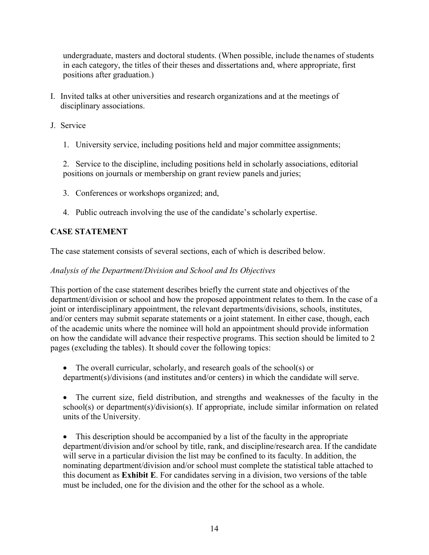undergraduate, masters and doctoral students. (When possible, include the names of students in each category, the titles of their theses and dissertations and, where appropriate, first positions after graduation.)

- I. Invited talks at other universities and research organizations and at the meetings of disciplinary associations.
- J. Service
	- 1. University service, including positions held and major committee assignments;

2. Service to the discipline, including positions held in scholarly associations, editorial positions on journals or membership on grant review panels and juries;

- 3. Conferences or workshops organized; and,
- 4. Public outreach involving the use of the candidate's scholarly expertise.

# <span id="page-14-0"></span>**CASE STATEMENT**

The case statement consists of several sections, each of which is described below.

#### *Analysis of the Department/Division and School and Its Objectives*

This portion of the case statement describes briefly the current state and objectives of the department/division or school and how the proposed appointment relates to them. In the case of a joint or interdisciplinary appointment, the relevant departments/divisions, schools, institutes, and/or centers may submit separate statements or a joint statement. In either case, though, each of the academic units where the nominee will hold an appointment should provide information on how the candidate will advance their respective programs. This section should be limited to 2 pages (excluding the tables). It should cover the following topics:

- The overall curricular, scholarly, and research goals of the school(s) or department(s)/divisions (and institutes and/or centers) in which the candidate will serve.
- The current size, field distribution, and strengths and weaknesses of the faculty in the school(s) or department(s)/division(s). If appropriate, include similar information on related units of the University.

• This description should be accompanied by a list of the faculty in the appropriate department/division and/or school by title, rank, and discipline/research area. If the candidate will serve in a particular division the list may be confined to its faculty. In addition, the nominating department/division and/or school must complete the statistical table attached to this document as **Exhibit E**. For candidates serving in a division, two versions of the table must be included, one for the division and the other for the school as a whole.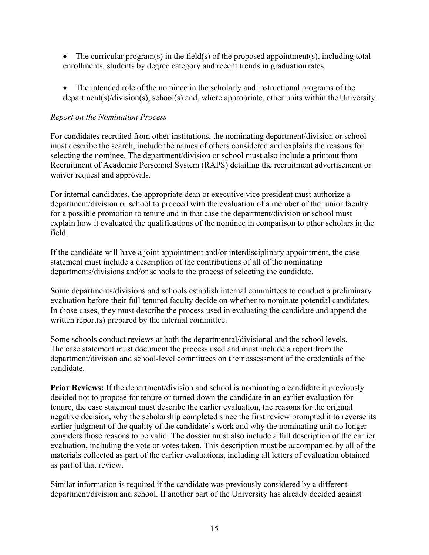- The curricular program(s) in the field(s) of the proposed appointment(s), including total enrollments, students by degree category and recent trends in graduation rates.
- The intended role of the nominee in the scholarly and instructional programs of the department(s)/division(s), school(s) and, where appropriate, other units within the University.

#### *Report on the Nomination Process*

For candidates recruited from other institutions, the nominating department/division or school must describe the search, include the names of others considered and explains the reasons for selecting the nominee. The department/division or school must also include a printout from Recruitment of Academic Personnel System (RAPS) detailing the recruitment advertisement or waiver request and approvals.

For internal candidates, the appropriate dean or executive vice president must authorize a department/division or school to proceed with the evaluation of a member of the junior faculty for a possible promotion to tenure and in that case the department/division or school must explain how it evaluated the qualifications of the nominee in comparison to other scholars in the field.

If the candidate will have a joint appointment and/or interdisciplinary appointment, the case statement must include a description of the contributions of all of the nominating departments/divisions and/or schools to the process of selecting the candidate.

Some departments/divisions and schools establish internal committees to conduct a preliminary evaluation before their full tenured faculty decide on whether to nominate potential candidates. In those cases, they must describe the process used in evaluating the candidate and append the written report(s) prepared by the internal committee.

Some schools conduct reviews at both the departmental/divisional and the school levels. The case statement must document the process used and must include a report from the department/division and school-level committees on their assessment of the credentials of the candidate.

**Prior Reviews:** If the department/division and school is nominating a candidate it previously decided not to propose for tenure or turned down the candidate in an earlier evaluation for tenure, the case statement must describe the earlier evaluation, the reasons for the original negative decision, why the scholarship completed since the first review prompted it to reverse its earlier judgment of the quality of the candidate's work and why the nominating unit no longer considers those reasons to be valid. The dossier must also include a full description of the earlier evaluation, including the vote or votes taken. This description must be accompanied by all of the materials collected as part of the earlier evaluations, including all letters of evaluation obtained as part of that review.

Similar information is required if the candidate was previously considered by a different department/division and school. If another part of the University has already decided against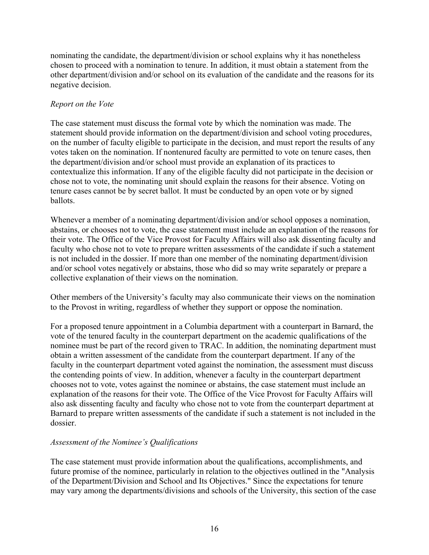nominating the candidate, the department/division or school explains why it has nonetheless chosen to proceed with a nomination to tenure. In addition, it must obtain a statement from the other department/division and/or school on its evaluation of the candidate and the reasons for its negative decision.

#### *Report on the Vote*

The case statement must discuss the formal vote by which the nomination was made. The statement should provide information on the department/division and school voting procedures, on the number of faculty eligible to participate in the decision, and must report the results of any votes taken on the nomination. If nontenured faculty are permitted to vote on tenure cases, then the department/division and/or school must provide an explanation of its practices to contextualize this information. If any of the eligible faculty did not participate in the decision or chose not to vote, the nominating unit should explain the reasons for their absence. Voting on tenure cases cannot be by secret ballot. It must be conducted by an open vote or by signed ballots.

Whenever a member of a nominating department/division and/or school opposes a nomination, abstains, or chooses not to vote, the case statement must include an explanation of the reasons for their vote. The Office of the Vice Provost for Faculty Affairs will also ask dissenting faculty and faculty who chose not to vote to prepare written assessments of the candidate if such a statement is not included in the dossier. If more than one member of the nominating department/division and/or school votes negatively or abstains, those who did so may write separately or prepare a collective explanation of their views on the nomination.

Other members of the University's faculty may also communicate their views on the nomination to the Provost in writing, regardless of whether they support or oppose the nomination.

For a proposed tenure appointment in a Columbia department with a counterpart in Barnard, the vote of the tenured faculty in the counterpart department on the academic qualifications of the nominee must be part of the record given to TRAC. In addition, the nominating department must obtain a written assessment of the candidate from the counterpart department. If any of the faculty in the counterpart department voted against the nomination, the assessment must discuss the contending points of view. In addition, whenever a faculty in the counterpart department chooses not to vote, votes against the nominee or abstains, the case statement must include an explanation of the reasons for their vote. The Office of the Vice Provost for Faculty Affairs will also ask dissenting faculty and faculty who chose not to vote from the counterpart department at Barnard to prepare written assessments of the candidate if such a statement is not included in the dossier.

#### *Assessment of the Nominee's Qualifications*

The case statement must provide information about the qualifications, accomplishments, and future promise of the nominee, particularly in relation to the objectives outlined in the "Analysis of the Department/Division and School and Its Objectives." Since the expectations for tenure may vary among the departments/divisions and schools of the University, this section of the case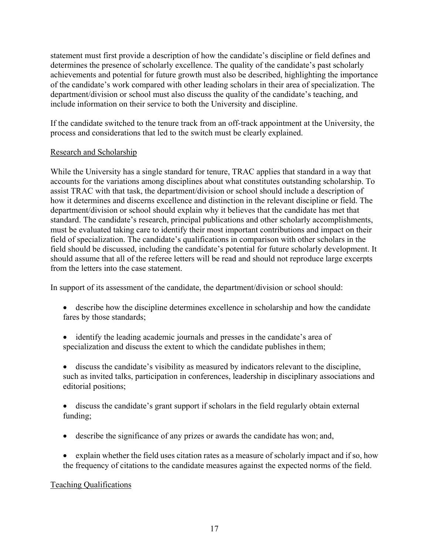statement must first provide a description of how the candidate's discipline or field defines and determines the presence of scholarly excellence. The quality of the candidate's past scholarly achievements and potential for future growth must also be described, highlighting the importance of the candidate's work compared with other leading scholars in their area of specialization. The department/division or school must also discuss the quality of the candidate's teaching, and include information on their service to both the University and discipline.

If the candidate switched to the tenure track from an off-track appointment at the University, the process and considerations that led to the switch must be clearly explained.

#### Research and Scholarship

While the University has a single standard for tenure, TRAC applies that standard in a way that accounts for the variations among disciplines about what constitutes outstanding scholarship. To assist TRAC with that task, the department/division or school should include a description of how it determines and discerns excellence and distinction in the relevant discipline or field. The department/division or school should explain why it believes that the candidate has met that standard. The candidate's research, principal publications and other scholarly accomplishments, must be evaluated taking care to identify their most important contributions and impact on their field of specialization. The candidate's qualifications in comparison with other scholars in the field should be discussed, including the candidate's potential for future scholarly development. It should assume that all of the referee letters will be read and should not reproduce large excerpts from the letters into the case statement.

In support of its assessment of the candidate, the department/division or school should:

- describe how the discipline determines excellence in scholarship and how the candidate fares by those standards;
- identify the leading academic journals and presses in the candidate's area of specialization and discuss the extent to which the candidate publishes in them;
- discuss the candidate's visibility as measured by indicators relevant to the discipline, such as invited talks, participation in conferences, leadership in disciplinary associations and editorial positions;
- discuss the candidate's grant support if scholars in the field regularly obtain external funding;
- describe the significance of any prizes or awards the candidate has won; and,
- explain whether the field uses citation rates as a measure of scholarly impact and if so, how the frequency of citations to the candidate measures against the expected norms of the field.

# Teaching Qualifications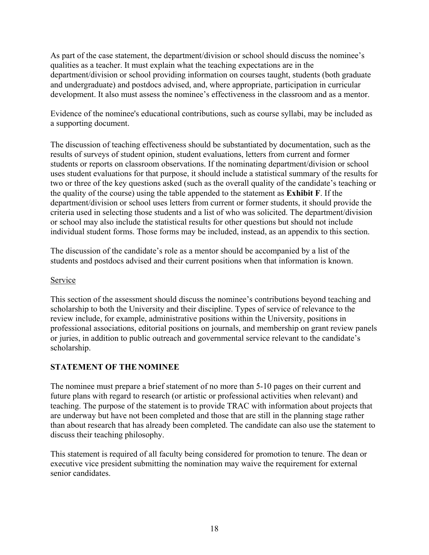As part of the case statement, the department/division or school should discuss the nominee's qualities as a teacher. It must explain what the teaching expectations are in the department/division or school providing information on courses taught, students (both graduate and undergraduate) and postdocs advised, and, where appropriate, participation in curricular development. It also must assess the nominee's effectiveness in the classroom and as a mentor.

Evidence of the nominee's educational contributions, such as course syllabi, may be included as a supporting document.

The discussion of teaching effectiveness should be substantiated by documentation, such as the results of surveys of student opinion, student evaluations, letters from current and former students or reports on classroom observations. If the nominating department/division or school uses student evaluations for that purpose, it should include a statistical summary of the results for two or three of the key questions asked (such as the overall quality of the candidate's teaching or the quality of the course) using the table appended to the statement as **Exhibit F**. If the department/division or school uses letters from current or former students, it should provide the criteria used in selecting those students and a list of who was solicited. The department/division or school may also include the statistical results for other questions but should not include individual student forms. Those forms may be included, instead, as an appendix to this section.

The discussion of the candidate's role as a mentor should be accompanied by a list of the students and postdocs advised and their current positions when that information is known.

#### Service

This section of the assessment should discuss the nominee's contributions beyond teaching and scholarship to both the University and their discipline. Types of service of relevance to the review include, for example, administrative positions within the University, positions in professional associations, editorial positions on journals, and membership on grant review panels or juries, in addition to public outreach and governmental service relevant to the candidate's scholarship.

# <span id="page-18-0"></span>**STATEMENT OF THE NOMINEE**

The nominee must prepare a brief statement of no more than 5-10 pages on their current and future plans with regard to research (or artistic or professional activities when relevant) and teaching. The purpose of the statement is to provide TRAC with information about projects that are underway but have not been completed and those that are still in the planning stage rather than about research that has already been completed. The candidate can also use the statement to discuss their teaching philosophy.

This statement is required of all faculty being considered for promotion to tenure. The dean or executive vice president submitting the nomination may waive the requirement for external senior candidates.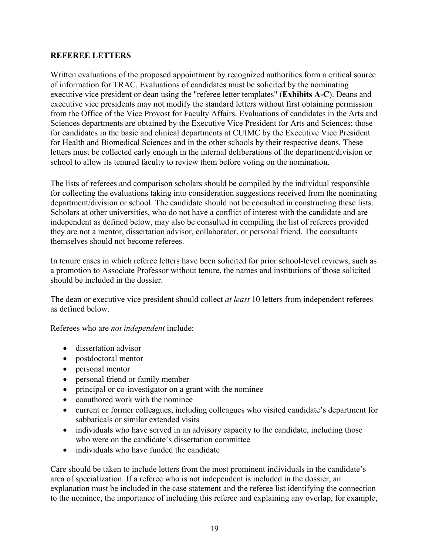#### <span id="page-19-0"></span>**REFEREE LETTERS**

Written evaluations of the proposed appointment by recognized authorities form a critical source of information for TRAC. Evaluations of candidates must be solicited by the nominating executive vice president or dean using the "referee letter templates" (**Exhibits A-C**). Deans and executive vice presidents may not modify the standard letters without first obtaining permission from the Office of the Vice Provost for Faculty Affairs. Evaluations of candidates in the Arts and Sciences departments are obtained by the Executive Vice President for Arts and Sciences; those for candidates in the basic and clinical departments at CUIMC by the Executive Vice President for Health and Biomedical Sciences and in the other schools by their respective deans. These letters must be collected early enough in the internal deliberations of the department/division or school to allow its tenured faculty to review them before voting on the nomination.

The lists of referees and comparison scholars should be compiled by the individual responsible for collecting the evaluations taking into consideration suggestions received from the nominating department/division or school. The candidate should not be consulted in constructing these lists. Scholars at other universities, who do not have a conflict of interest with the candidate and are independent as defined below, may also be consulted in compiling the list of referees provided they are not a mentor, dissertation advisor, collaborator, or personal friend. The consultants themselves should not become referees.

In tenure cases in which referee letters have been solicited for prior school-level reviews, such as a promotion to Associate Professor without tenure, the names and institutions of those solicited should be included in the dossier.

The dean or executive vice president should collect *at least* 10 letters from independent referees as defined below.

Referees who are *not independent* include:

- dissertation advisor
- postdoctoral mentor
- personal mentor
- personal friend or family member
- principal or co-investigator on a grant with the nominee
- coauthored work with the nominee
- current or former colleagues, including colleagues who visited candidate's department for sabbaticals or similar extended visits
- individuals who have served in an advisory capacity to the candidate, including those who were on the candidate's dissertation committee
- individuals who have funded the candidate

Care should be taken to include letters from the most prominent individuals in the candidate's area of specialization. If a referee who is not independent is included in the dossier, an explanation must be included in the case statement and the referee list identifying the connection to the nominee, the importance of including this referee and explaining any overlap, for example,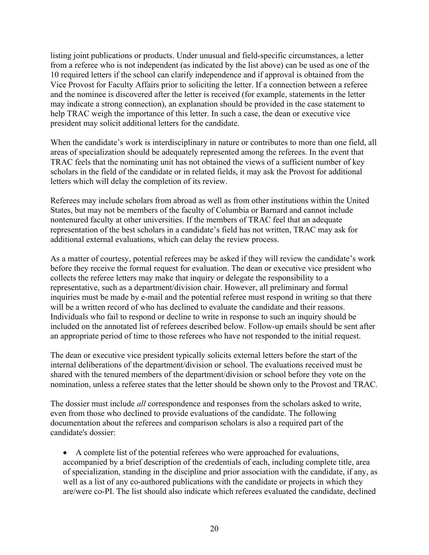listing joint publications or products. Under unusual and field-specific circumstances, a letter from a referee who is not independent (as indicated by the list above) can be used as one of the 10 required letters if the school can clarify independence and if approval is obtained from the Vice Provost for Faculty Affairs prior to soliciting the letter. If a connection between a referee and the nominee is discovered after the letter is received (for example, statements in the letter may indicate a strong connection), an explanation should be provided in the case statement to help TRAC weigh the importance of this letter. In such a case, the dean or executive vice president may solicit additional letters for the candidate.

When the candidate's work is interdisciplinary in nature or contributes to more than one field, all areas of specialization should be adequately represented among the referees. In the event that TRAC feels that the nominating unit has not obtained the views of a sufficient number of key scholars in the field of the candidate or in related fields, it may ask the Provost for additional letters which will delay the completion of its review.

Referees may include scholars from abroad as well as from other institutions within the United States, but may not be members of the faculty of Columbia or Barnard and cannot include nontenured faculty at other universities. If the members of TRAC feel that an adequate representation of the best scholars in a candidate's field has not written, TRAC may ask for additional external evaluations, which can delay the review process.

As a matter of courtesy, potential referees may be asked if they will review the candidate's work before they receive the formal request for evaluation. The dean or executive vice president who collects the referee letters may make that inquiry or delegate the responsibility to a representative, such as a department/division chair. However, all preliminary and formal inquiries must be made by e-mail and the potential referee must respond in writing so that there will be a written record of who has declined to evaluate the candidate and their reasons. Individuals who fail to respond or decline to write in response to such an inquiry should be included on the annotated list of referees described below. Follow-up emails should be sent after an appropriate period of time to those referees who have not responded to the initial request.

The dean or executive vice president typically solicits external letters before the start of the internal deliberations of the department/division or school. The evaluations received must be shared with the tenured members of the department/division or school before they vote on the nomination, unless a referee states that the letter should be shown only to the Provost and TRAC.

The dossier must include *all* correspondence and responses from the scholars asked to write, even from those who declined to provide evaluations of the candidate. The following documentation about the referees and comparison scholars is also a required part of the candidate's dossier:

• A complete list of the potential referees who were approached for evaluations, accompanied by a brief description of the credentials of each, including complete title, area of specialization, standing in the discipline and prior association with the candidate, if any, as well as a list of any co-authored publications with the candidate or projects in which they are/were co-PI. The list should also indicate which referees evaluated the candidate, declined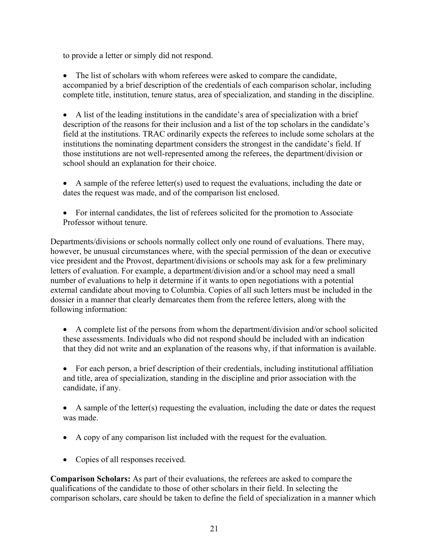to provide a letter or simply did not respond.

• The list of scholars with whom referees were asked to compare the candidate, accompanied by a brief description of the credentials of each comparison scholar, including complete title, institution, tenure status, area of specialization, and standing in the discipline.

• A list of the leading institutions in the candidate's area of specialization with a brief description of the reasons for their inclusion and a list of the top scholars in the candidate's field at the institutions. TRAC ordinarily expects the referees to include some scholars at the institutions the nominating department considers the strongest in the candidate's field. If those institutions are not well-represented among the referees, the department/division or school should an explanation for their choice.

- A sample of the referee letter(s) used to request the evaluations, including the date or dates the request was made, and of the comparison list enclosed.
- For internal candidates, the list of referees solicited for the promotion to Associate Professor without tenure.

Departments/divisions or schools normally collect only one round of evaluations. There may, however, be unusual circumstances where, with the special permission of the dean or executive vice president and the Provost, department/divisions or schools may ask for a few preliminary letters of evaluation. For example, a department/division and/or a school may need a small number of evaluations to help it determine if it wants to open negotiations with a potential external candidate about moving to Columbia. Copies of all such letters must be included in the dossier in a manner that clearly demarcates them from the referee letters, along with the following information:

- A complete list of the persons from whom the department/division and/or school solicited these assessments. Individuals who did not respond should be included with an indication that they did not write and an explanation of the reasons why, if that information is available.
- For each person, a brief description of their credentials, including institutional affiliation and title, area of specialization, standing in the discipline and prior association with the candidate, if any.
- A sample of the letter(s) requesting the evaluation, including the date or dates the request was made.
- A copy of any comparison list included with the request for the evaluation.
- Copies of all responses received.

**Comparison Scholars:** As part of their evaluations, the referees are asked to compare the qualifications of the candidate to those of other scholars in their field. In selecting the comparison scholars, care should be taken to define the field of specialization in a manner which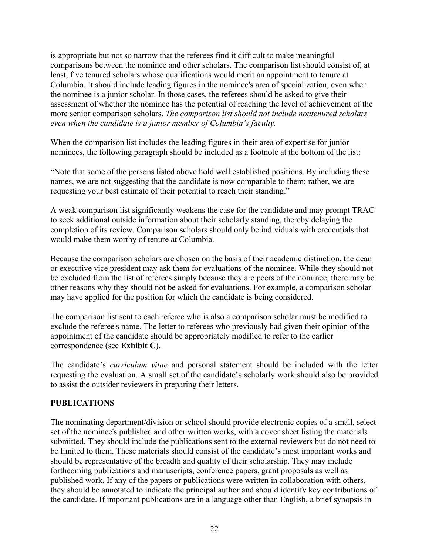is appropriate but not so narrow that the referees find it difficult to make meaningful comparisons between the nominee and other scholars. The comparison list should consist of, at least, five tenured scholars whose qualifications would merit an appointment to tenure at Columbia. It should include leading figures in the nominee's area of specialization, even when the nominee is a junior scholar. In those cases, the referees should be asked to give their assessment of whether the nominee has the potential of reaching the level of achievement of the more senior comparison scholars. *The comparison list should not include nontenured scholars even when the candidate is a junior member of Columbia's faculty.*

When the comparison list includes the leading figures in their area of expertise for junior nominees, the following paragraph should be included as a footnote at the bottom of the list:

"Note that some of the persons listed above hold well established positions. By including these names, we are not suggesting that the candidate is now comparable to them; rather, we are requesting your best estimate of their potential to reach their standing."

A weak comparison list significantly weakens the case for the candidate and may prompt TRAC to seek additional outside information about their scholarly standing, thereby delaying the completion of its review. Comparison scholars should only be individuals with credentials that would make them worthy of tenure at Columbia.

Because the comparison scholars are chosen on the basis of their academic distinction, the dean or executive vice president may ask them for evaluations of the nominee. While they should not be excluded from the list of referees simply because they are peers of the nominee, there may be other reasons why they should not be asked for evaluations. For example, a comparison scholar may have applied for the position for which the candidate is being considered.

The comparison list sent to each referee who is also a comparison scholar must be modified to exclude the referee's name. The letter to referees who previously had given their opinion of the appointment of the candidate should be appropriately modified to refer to the earlier correspondence (see **Exhibit C**).

The candidate's *curriculum vitae* and personal statement should be included with the letter requesting the evaluation. A small set of the candidate's scholarly work should also be provided to assist the outsider reviewers in preparing their letters.

#### <span id="page-22-0"></span>**PUBLICATIONS**

The nominating department/division or school should provide electronic copies of a small, select set of the nominee's published and other written works, with a cover sheet listing the materials submitted. They should include the publications sent to the external reviewers but do not need to be limited to them. These materials should consist of the candidate's most important works and should be representative of the breadth and quality of their scholarship. They may include forthcoming publications and manuscripts, conference papers, grant proposals as well as published work. If any of the papers or publications were written in collaboration with others, they should be annotated to indicate the principal author and should identify key contributions of the candidate. If important publications are in a language other than English, a brief synopsis in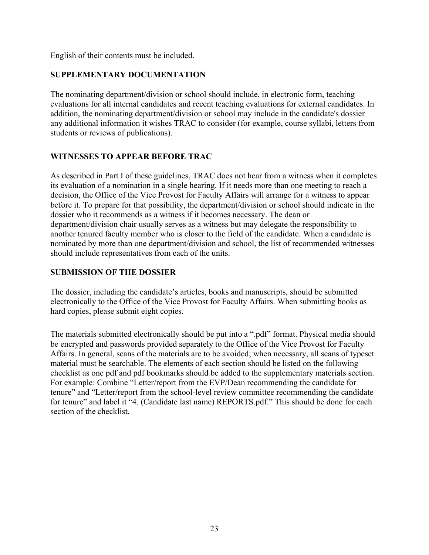English of their contents must be included.

# <span id="page-23-0"></span>**SUPPLEMENTARY DOCUMENTATION**

The nominating department/division or school should include, in electronic form, teaching evaluations for all internal candidates and recent teaching evaluations for external candidates. In addition, the nominating department/division or school may include in the candidate's dossier any additional information it wishes TRAC to consider (for example, course syllabi, letters from students or reviews of publications).

# <span id="page-23-1"></span>**WITNESSES TO APPEAR BEFORE TRAC**

As described in Part I of these guidelines, TRAC does not hear from a witness when it completes its evaluation of a nomination in a single hearing. If it needs more than one meeting to reach a decision, the Office of the Vice Provost for Faculty Affairs will arrange for a witness to appear before it. To prepare for that possibility, the department/division or school should indicate in the dossier who it recommends as a witness if it becomes necessary. The dean or department/division chair usually serves as a witness but may delegate the responsibility to another tenured faculty member who is closer to the field of the candidate. When a candidate is nominated by more than one department/division and school, the list of recommended witnesses should include representatives from each of the units.

#### <span id="page-23-2"></span>**SUBMISSION OF THE DOSSIER**

The dossier, including the candidate's articles, books and manuscripts, should be submitted electronically to the Office of the Vice Provost for Faculty Affairs. When submitting books as hard copies, please submit eight copies.

The materials submitted electronically should be put into a ".pdf" format. Physical media should be encrypted and passwords provided separately to the Office of the Vice Provost for Faculty Affairs. In general, scans of the materials are to be avoided; when necessary, all scans of typeset material must be searchable. The elements of each section should be listed on the following checklist as one pdf and pdf bookmarks should be added to the supplementary materials section. For example: Combine "Letter/report from the EVP/Dean recommending the candidate for tenure" and "Letter/report from the school-level review committee recommending the candidate for tenure" and label it "4. (Candidate last name) REPORTS.pdf." This should be done for each section of the checklist.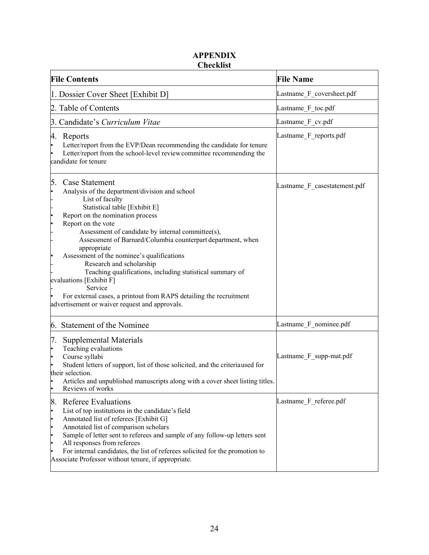# **APPENDIX Checklist**

<span id="page-24-1"></span><span id="page-24-0"></span>

| <b>File Contents</b>                                                                                                                                                                                                                                                                                                                                                                                                                                                                                                                                                                                                                         | <b>File Name</b>             |  |
|----------------------------------------------------------------------------------------------------------------------------------------------------------------------------------------------------------------------------------------------------------------------------------------------------------------------------------------------------------------------------------------------------------------------------------------------------------------------------------------------------------------------------------------------------------------------------------------------------------------------------------------------|------------------------------|--|
| 1. Dossier Cover Sheet [Exhibit D]                                                                                                                                                                                                                                                                                                                                                                                                                                                                                                                                                                                                           | Lastname F_coversheet.pdf    |  |
| 2. Table of Contents                                                                                                                                                                                                                                                                                                                                                                                                                                                                                                                                                                                                                         | Lastname F_toc.pdf           |  |
| 3. Candidate's Curriculum Vitae                                                                                                                                                                                                                                                                                                                                                                                                                                                                                                                                                                                                              | Lastname F cv.pdf            |  |
| 4.<br>Reports<br>Letter/report from the EVP/Dean recommending the candidate for tenure<br>Letter/report from the school-level review committee recommending the<br>candidate for tenure                                                                                                                                                                                                                                                                                                                                                                                                                                                      | Lastname F reports.pdf       |  |
| 5.<br>Case Statement<br>Analysis of the department/division and school<br>l.<br>List of faculty<br>Statistical table [Exhibit E]<br>Report on the nomination process<br>ŀ<br>Report on the vote<br>ŀ<br>Assessment of candidate by internal committee(s),<br>Assessment of Barnard/Columbia counterpart department, when<br>appropriate<br>Assessment of the nominee's qualifications<br>Research and scholarship<br>Teaching qualifications, including statistical summary of<br>evaluations [Exhibit F]<br>Service<br>For external cases, a printout from RAPS detailing the recruitment<br>advertisement or waiver request and approvals. | Lastname_F_casestatement.pdf |  |
| 6. Statement of the Nominee                                                                                                                                                                                                                                                                                                                                                                                                                                                                                                                                                                                                                  | Lastname F_nominee.pdf       |  |
| 7.<br>Supplemental Materials<br>Teaching evaluations<br>le<br>Course syllabi<br>ŀ<br>Student letters of support, list of those solicited, and the criteriaused for<br>their selection.<br>Articles and unpublished manuscripts along with a cover sheet listing titles.<br>Reviews of works                                                                                                                                                                                                                                                                                                                                                  | Lastname F supp-mat.pdf      |  |
| 8.<br><b>Referee Evaluations</b><br>List of top institutions in the candidate's field<br>Annotated list of referees [Exhibit G]<br>lo<br>Annotated list of comparison scholars<br>lo<br>Sample of letter sent to referees and sample of any follow-up letters sent<br>l.<br>All responses from referees<br>l.<br>For internal candidates, the list of referees solicited for the promotion to<br>Associate Professor without tenure, if appropriate.                                                                                                                                                                                         | Lastname F_referee.pdf       |  |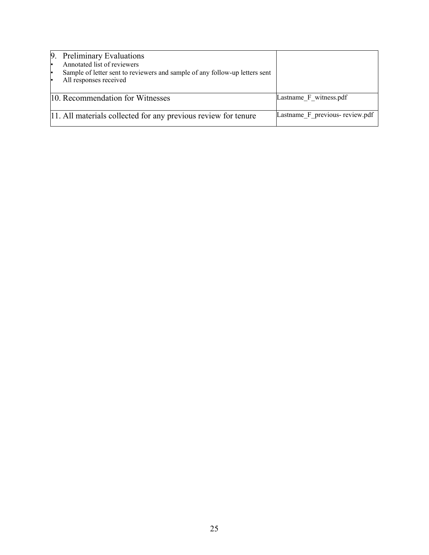|    | 9. Preliminary Evaluations                                                  |                                |
|----|-----------------------------------------------------------------------------|--------------------------------|
|    | Annotated list of reviewers                                                 |                                |
| ŀ  | Sample of letter sent to reviewers and sample of any follow-up letters sent |                                |
| l. | All responses received                                                      |                                |
|    |                                                                             |                                |
|    | 10. Recommendation for Witnesses                                            | Lastname F witness.pdf         |
|    |                                                                             |                                |
|    | 11. All materials collected for any previous review for tenure              | Lastname F previous-review.pdf |
|    |                                                                             |                                |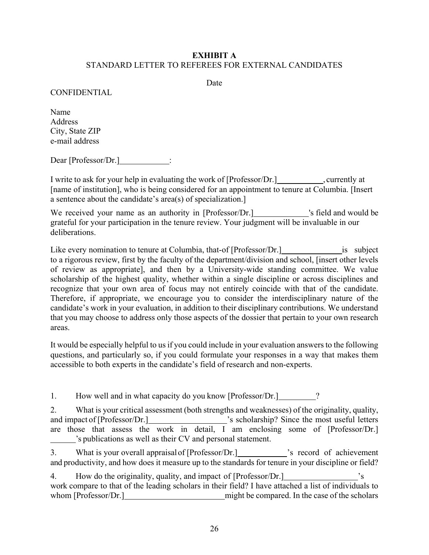#### <span id="page-26-0"></span>**EXHIBIT A** STANDARD LETTER TO REFEREES FOR EXTERNAL CANDIDATES

Date

#### CONFIDENTIAL

Name Address City, State ZIP e-mail address

Dear [Professor/Dr.] :

I write to ask for your help in evaluating the work of [Professor/Dr.] \_\_\_\_\_\_\_\_\_\_, currently at [name of institution], who is being considered for an appointment to tenure at Columbia. [Insert a sentence about the candidate's area(s) of specialization.]

We received your name as an authority in [Professor/Dr.] vs field and would be grateful for your participation in the tenure review. Your judgment will be invaluable in our deliberations.

Like every nomination to tenure at Columbia, that-of [Professor/Dr.] is subject to a rigorous review, first by the faculty of the department/division and school, [insert other levels of review as appropriate], and then by a University-wide standing committee. We value scholarship of the highest quality, whether within a single discipline or across disciplines and recognize that your own area of focus may not entirely coincide with that of the candidate. Therefore, if appropriate, we encourage you to consider the interdisciplinary nature of the candidate's work in your evaluation, in addition to their disciplinary contributions. We understand that you may choose to address only those aspects of the dossier that pertain to your own research areas.

It would be especially helpful to us if you could include in your evaluation answersto the following questions, and particularly so, if you could formulate your responses in a way that makes them accessible to both experts in the candidate's field of research and non-experts.

1. How well and in what capacity do you know [Professor/Dr.] \_\_\_\_\_\_\_\_?

2. What is your critical assessment (both strengths and weaknesses) of the originality, quality, and impact of [Professor/Dr.] 's scholarship? Since the most useful letters are those that assess the work in detail, I am enclosing some of [Professor/Dr.] 's publications as well as their CV and personal statement.

3. What is your overall appraisal of [Professor/Dr.] \[Square 25 secord of achievement and productivity, and how does it measure up to the standards for tenure in your discipline or field?

4. How do the originality, quality, and impact of [Professor/Dr.]  $\cdot$  's work compare to that of the leading scholars in their field? I have attached a list of individuals to whom [Professor/Dr.] might be compared. In the case of the scholars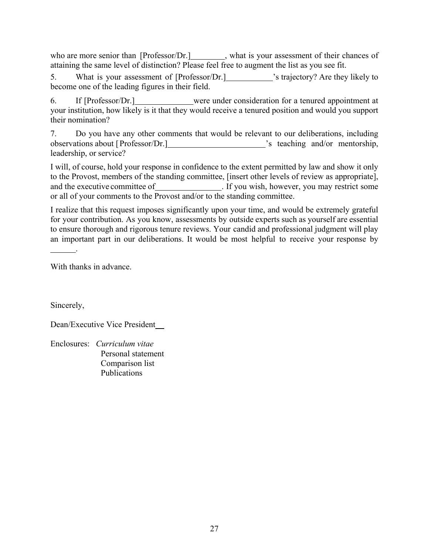who are more senior than [Professor/Dr.] what is your assessment of their chances of attaining the same level of distinction? Please feel free to augment the list as you see fit.

5. What is your assessment of [Professor/Dr.] 's trajectory? Are they likely to become one of the leading figures in their field.

6. If [Professor/Dr.] were under consideration for a tenured appointment at your institution, how likely is it that they would receive a tenured position and would you support their nomination?

7. Do you have any other comments that would be relevant to our deliberations, including observations about [Professor/Dr.] 's teaching and/or mentorship, leadership, or service?

I will, of course, hold your response in confidence to the extent permitted by law and show it only to the Provost, members of the standing committee, [insert other levels of review as appropriate], and the executive committee of \_\_\_\_\_\_\_\_\_\_\_\_\_\_. If you wish, however, you may restrict some or all of your comments to the Provost and/or to the standing committee.

I realize that this request imposes significantly upon your time, and would be extremely grateful for your contribution. As you know, assessments by outside experts such as yourself are essential to ensure thorough and rigorous tenure reviews. Your candid and professional judgment will play an important part in our deliberations. It would be most helpful to receive your response by

With thanks in advance.

.

Sincerely,

Dean/Executive Vice President

Enclosures: *Curriculum vitae* Personal statement Comparison list Publications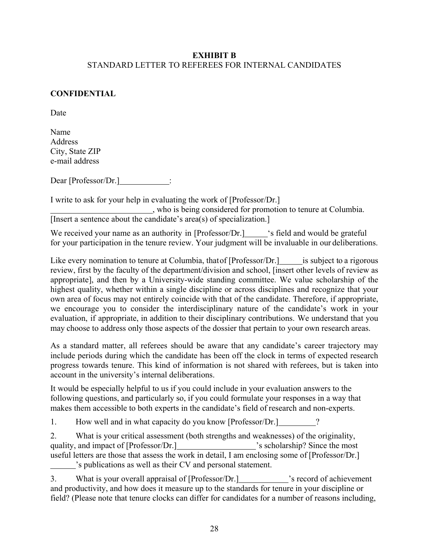#### <span id="page-28-0"></span>**EXHIBIT B** STANDARD LETTER TO REFEREES FOR INTERNAL CANDIDATES

#### **CONFIDENTIAL**

Date

Name Address City, State ZIP e-mail address

Dear [Professor/Dr.] :

I write to ask for your help in evaluating the work of [Professor/Dr.] , who is being considered for promotion to tenure at Columbia. [Insert a sentence about the candidate's area(s) of specialization.]

We received your name as an authority in [Professor/Dr.] 's field and would be grateful for your participation in the tenure review. Your judgment will be invaluable in our deliberations.

Like every nomination to tenure at Columbia, that of [Professor/Dr.] is subject to a rigorous review, first by the faculty of the department/division and school, [insert other levels of review as appropriate], and then by a University-wide standing committee. We value scholarship of the highest quality, whether within a single discipline or across disciplines and recognize that your own area of focus may not entirely coincide with that of the candidate. Therefore, if appropriate, we encourage you to consider the interdisciplinary nature of the candidate's work in your evaluation, if appropriate, in addition to their disciplinary contributions. We understand that you may choose to address only those aspects of the dossier that pertain to your own research areas.

As a standard matter, all referees should be aware that any candidate's career trajectory may include periods during which the candidate has been off the clock in terms of expected research progress towards tenure. This kind of information is not shared with referees, but is taken into account in the university's internal deliberations.

It would be especially helpful to us if you could include in your evaluation answers to the following questions, and particularly so, if you could formulate your responses in a way that makes them accessible to both experts in the candidate's field of research and non-experts.

1. How well and in what capacity do you know [Professor/Dr.]

2. What is your critical assessment (both strengths and weaknesses) of the originality, quality, and impact of [Professor/Dr.] 's scholarship? Since the most useful letters are those that assess the work in detail, I am enclosing some of [Professor/Dr.] 's publications as well as their CV and personal statement.

3. What is your overall appraisal of [Professor/Dr.] vs record of achievement and productivity, and how does it measure up to the standards for tenure in your discipline or field? (Please note that tenure clocks can differ for candidates for a number of reasons including,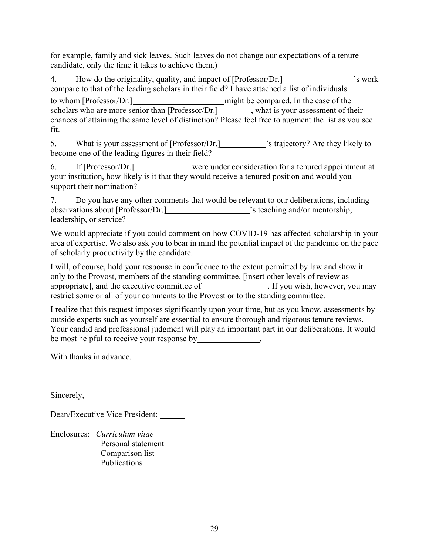for example, family and sick leaves. Such leaves do not change our expectations of a tenure candidate, only the time it takes to achieve them.)

4. How do the originality, quality, and impact of [Professor/Dr.]  $\cdot$  's work compare to that of the leading scholars in their field? I have attached a list ofindividuals to whom [Professor/Dr.] might be compared. In the case of the scholars who are more senior than  $[Professor/Dr.]$ , what is your assessment of their chances of attaining the same level of distinction? Please feel free to augment the list as you see fit.

5. What is your assessment of [Professor/Dr.] 's trajectory? Are they likely to become one of the leading figures in their field?

6. If [Professor/Dr.] were under consideration for a tenured appointment at your institution, how likely is it that they would receive a tenured position and would you support their nomination?

7. Do you have any other comments that would be relevant to our deliberations, including observations about [Professor/Dr.] 's teaching and/or mentorship, leadership, or service?

We would appreciate if you could comment on how COVID-19 has affected scholarship in your area of expertise. We also ask you to bear in mind the potential impact of the pandemic on the pace of scholarly productivity by the candidate.

I will, of course, hold your response in confidence to the extent permitted by law and show it only to the Provost, members of the standing committee, [insert other levels of review as appropriate], and the executive committee of . If you wish, however, you may restrict some or all of your comments to the Provost or to the standing committee.

I realize that this request imposes significantly upon your time, but as you know, assessments by outside experts such as yourself are essential to ensure thorough and rigorous tenure reviews. Your candid and professional judgment will play an important part in our deliberations. It would be most helpful to receive your response by **we have the most helpful to receive** your response by

With thanks in advance.

Sincerely,

Dean/Executive Vice President:

Enclosures: *Curriculum vitae* Personal statement Comparison list Publications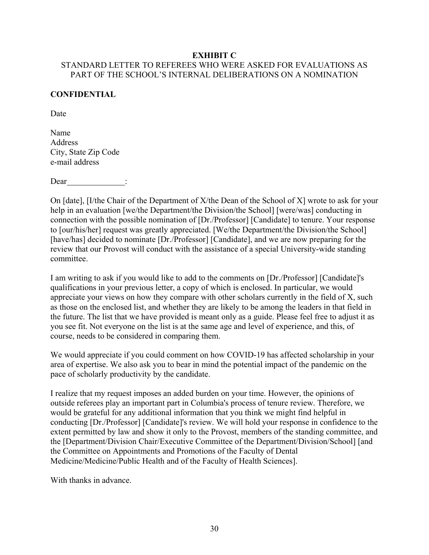#### **EXHIBIT C**

# <span id="page-30-0"></span>STANDARD LETTER TO REFEREES WHO WERE ASKED FOR EVALUATIONS AS PART OF THE SCHOOL'S INTERNAL DELIBERATIONS ON A NOMINATION

#### **CONFIDENTIAL**

Date

Name Address City, State Zip Code e-mail address

Dear :

On [date], [I/the Chair of the Department of X/the Dean of the School of X] wrote to ask for your help in an evaluation [we/the Department/the Division/the School] [were/was] conducting in connection with the possible nomination of [Dr./Professor] [Candidate] to tenure. Your response to [our/his/her] request was greatly appreciated. [We/the Department/the Division/the School] [have/has] decided to nominate [Dr./Professor] [Candidate], and we are now preparing for the review that our Provost will conduct with the assistance of a special University-wide standing committee.

I am writing to ask if you would like to add to the comments on [Dr./Professor] [Candidate]'s qualifications in your previous letter, a copy of which is enclosed. In particular, we would appreciate your views on how they compare with other scholars currently in the field of X, such as those on the enclosed list, and whether they are likely to be among the leaders in that field in the future. The list that we have provided is meant only as a guide. Please feel free to adjust it as you see fit. Not everyone on the list is at the same age and level of experience, and this, of course, needs to be considered in comparing them.

We would appreciate if you could comment on how COVID-19 has affected scholarship in your area of expertise. We also ask you to bear in mind the potential impact of the pandemic on the pace of scholarly productivity by the candidate.

I realize that my request imposes an added burden on your time. However, the opinions of outside referees play an important part in Columbia's process of tenure review. Therefore, we would be grateful for any additional information that you think we might find helpful in conducting [Dr./Professor] [Candidate]'s review. We will hold your response in confidence to the extent permitted by law and show it only to the Provost, members of the standing committee, and the [Department/Division Chair/Executive Committee of the Department/Division/School] [and the Committee on Appointments and Promotions of the Faculty of Dental Medicine/Medicine/Public Health and of the Faculty of Health Sciences].

With thanks in advance.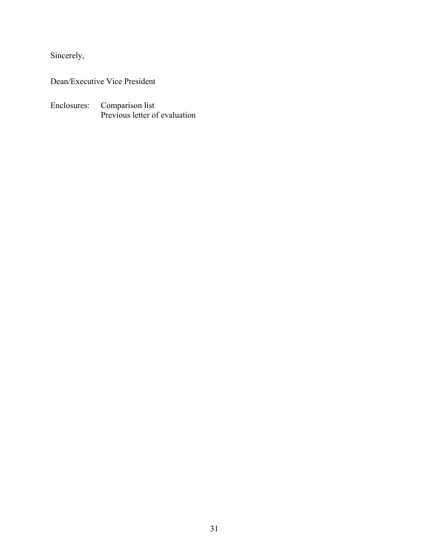Sincerely,

Dean/Executive Vice President

Enclosures: Comparison list Previous letter of evaluation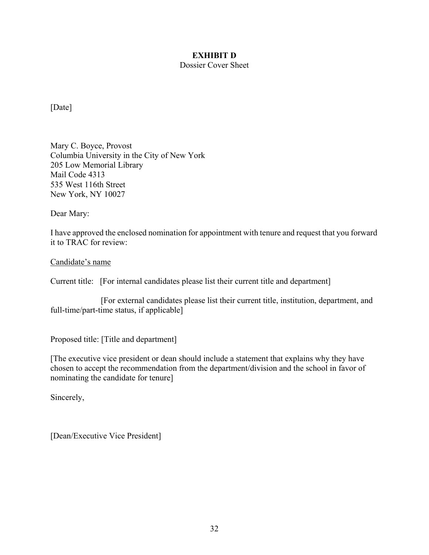# **EXHIBIT D**

Dossier Cover Sheet

<span id="page-32-0"></span>[Date]

Mary C. Boyce, Provost Columbia University in the City of New York 205 Low Memorial Library Mail Code 4313 535 West 116th Street New York, NY 10027

Dear Mary:

I have approved the enclosed nomination for appointment with tenure and request that you forward it to TRAC for review:

Candidate's name

Current title: [For internal candidates please list their current title and department]

[For external candidates please list their current title, institution, department, and full-time/part-time status, if applicable]

Proposed title: [Title and department]

[The executive vice president or dean should include a statement that explains why they have chosen to accept the recommendation from the department/division and the school in favor of nominating the candidate for tenure]

Sincerely,

[Dean/Executive Vice President]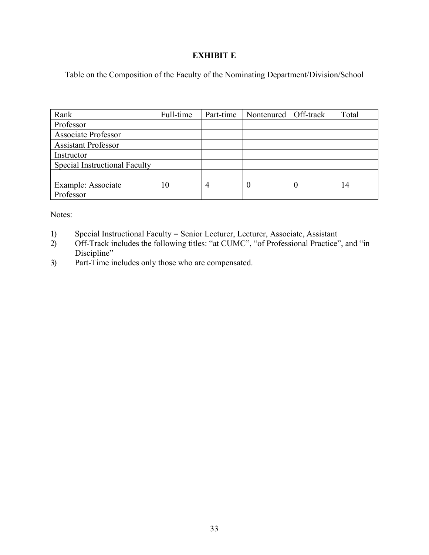#### **EXHIBIT E**

<span id="page-33-0"></span>Table on the Composition of the Faculty of the Nominating Department/Division/School

| Rank                                 | Full-time | Part-time | Nontenured   Off-track | Total |
|--------------------------------------|-----------|-----------|------------------------|-------|
| Professor                            |           |           |                        |       |
| <b>Associate Professor</b>           |           |           |                        |       |
| <b>Assistant Professor</b>           |           |           |                        |       |
| Instructor                           |           |           |                        |       |
| <b>Special Instructional Faculty</b> |           |           |                        |       |
|                                      |           |           |                        |       |
| Example: Associate                   | 10        |           | O                      | 14    |
| Professor                            |           |           |                        |       |

Notes:

- 1) Special Instructional Faculty = Senior Lecturer, Lecturer, Associate, Assistant 2) Off-Track includes the following titles: "at CUMC", "of Professional Practice"
- 2) Off-Track includes the following titles: "at CUMC", "of Professional Practice", and "in Discipline"
- 3) Part-Time includes only those who are compensated.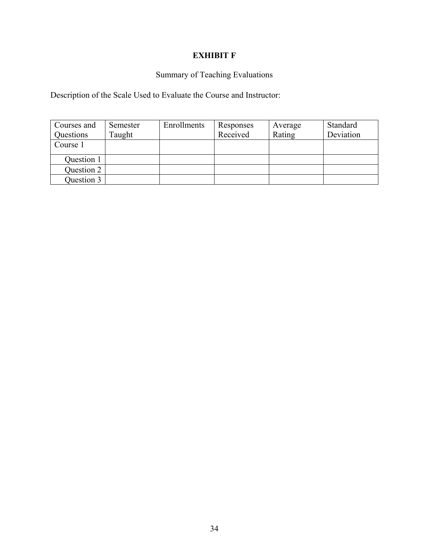# **EXHIBIT F**

# Summary of Teaching Evaluations

<span id="page-34-0"></span>Description of the Scale Used to Evaluate the Course and Instructor:

| Courses and | Semester | Enrollments | Responses | Average | Standard  |
|-------------|----------|-------------|-----------|---------|-----------|
| Questions   | Taught   |             | Received  | Rating  | Deviation |
| Course 1    |          |             |           |         |           |
| Question 1  |          |             |           |         |           |
| Question 2  |          |             |           |         |           |
| Question 3  |          |             |           |         |           |